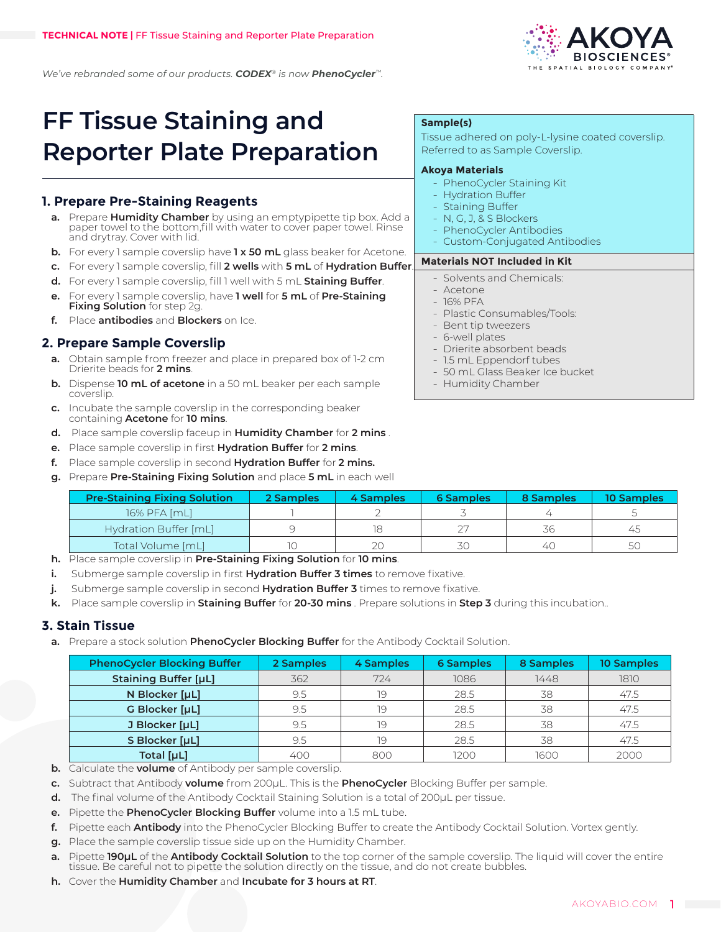

*We've rebranded some of our products. CODEX® is now PhenoCycler™.*

# **FF Tissue Staining and Reporter Plate Preparation**

# **1. Prepare Pre-Staining Reagents**

- **a.** Prepare **Humidity Chamber** by using an emptypipette tip box. Add a paper towel to the bottom,fill with water to cover paper towel. Rinse and drytray. Cover with lid.
- **b.** For every 1 sample coverslip have **1 x 50 mL** glass beaker for Acetone.
- **c.** For every 1 sample coverslip, fill **2 wells** with **5 mL** of **Hydration Buffer**.
- **d.** For every 1 sample coverslip, fill 1 well with 5 mL **Staining Buffer**.
- **e.** For every 1 sample coverslip, have **1 well** for **5 mL** of **Pre-Staining Fixing Solution** for step 2g.
- **f.** Place **antibodies** and **Blockers** on Ice.

# **2. Prepare Sample Coverslip**

- **a.** Obtain sample from freezer and place in prepared box of 1-2 cm Drierite beads for **2 mins**.
- **b.** Dispense **10 mL of acetone** in a 50 mL beaker per each sample coverslip.
- **c.** Incubate the sample coverslip in the corresponding beaker containing **Acetone** for **10 mins**.
- **d.** Place sample coverslip faceup in **Humidity Chamber** for **2 mins** .
- **e.** Place sample coverslip in first **Hydration Buffer** for **2 mins**.
- **f.** Place sample coverslip in second **Hydration Buffer** for **2 mins.**
- **g.** Prepare **Pre-Staining Fixing Solution** and place **5 mL** in each well

| <b>Pre-Staining Fixing Solution</b> | 2 Samples | 4 Samples | <b>6 Samples</b> | 8 Samples | 10 Samples |
|-------------------------------------|-----------|-----------|------------------|-----------|------------|
| 16% PFA [mL]                        |           |           |                  |           |            |
| Hydration Buffer [mL]               |           |           | つワ               |           | 45         |
| Total Volume [mL]                   |           |           | 30               |           |            |

- **h.** Place sample coverslip in **Pre-Staining Fixing Solution** for **10 mins**.
- **i.** Submerge sample coverslip in first **Hydration Buffer 3 times** to remove fixative.
- **j.** Submerge sample coverslip in second **Hydration Buffer 3** times to remove fixative.
- **k.** Place sample coverslip in **Staining Buffer** for **20-30 mins** . Prepare solutions in **Step 3** during this incubation..

## **3. Stain Tissue**

**a.** Prepare a stock solution **PhenoCycler Blocking Buffer** for the Antibody Cocktail Solution.

| <b>PhenoCycler Blocking Buffer</b> | 2 Samples | 4 Samples | <b>6 Samples</b> | 8 Samples | <b>10 Samples</b> |
|------------------------------------|-----------|-----------|------------------|-----------|-------------------|
| <b>Staining Buffer [µL]</b>        | 362       | 724       | 1086             | 1448      | 1810              |
| N Blocker [µL]                     | 9.5       | 19        | 28.5             | 38        | 47.5              |
| G Blocker [µL]                     | 9.5       | 19        | 28.5             | 38        | 47.5              |
| J Blocker [µL]                     | 9.5       | 19        | 28.5             | 38        | 47.5              |
| S Blocker [µL]                     | 9.5       | 19        | 28.5             | 38        | 47.5              |
| Total [µL]                         | 400       | 800       | 1200             | 1600      | 2000              |

**b.** Calculate the **volume** of Antibody per sample coverslip.

**c.** Subtract that Antibody **volume** from 200μL. This is the **PhenoCycler** Blocking Buffer per sample.

- **d.** The final volume of the Antibody Cocktail Staining Solution is a total of 200µL per tissue.
- **e.** Pipette the **PhenoCycler Blocking Buffer** volume into a 1.5 mL tube.
- **f.** Pipette each **Antibody** into the PhenoCycler Blocking Buffer to create the Antibody Cocktail Solution. Vortex gently.
- **g.** Place the sample coverslip tissue side up on the Humidity Chamber.
- **a.** Pipette **190μL** of the **Antibody Cocktail Solution** to the top corner of the sample coverslip. The liquid will cover the entire tissue. Be careful not to pipette the solution directly on the tissue, and do not create bubbles.
- **h.** Cover the **Humidity Chamber** and **Incubate for 3 hours at RT**.

### **Sample(s)**

Tissue adhered on poly-L-lysine coated coverslip. Referred to as Sample Coverslip.

#### **Akoya Materials**

- PhenoCycler Staining Kit
- Hydration Buffer
- Staining Buffer
- N, G, J, & S Blockers
- PhenoCycler Antibodies
- Custom-Conjugated Antibodies

#### **Materials NOT Included in Kit**

- Solvents and Chemicals:
- $-A$ cetone
- $-16%$  PFA
- Plastic Consumables/Tools:
- Bent tip tweezers
- 6-well plates
- Drierite absorbent beads
- 1.5 mL Eppendorf tubes
- 50 mL Glass Beaker Ice bucket
- Humidity Chamber